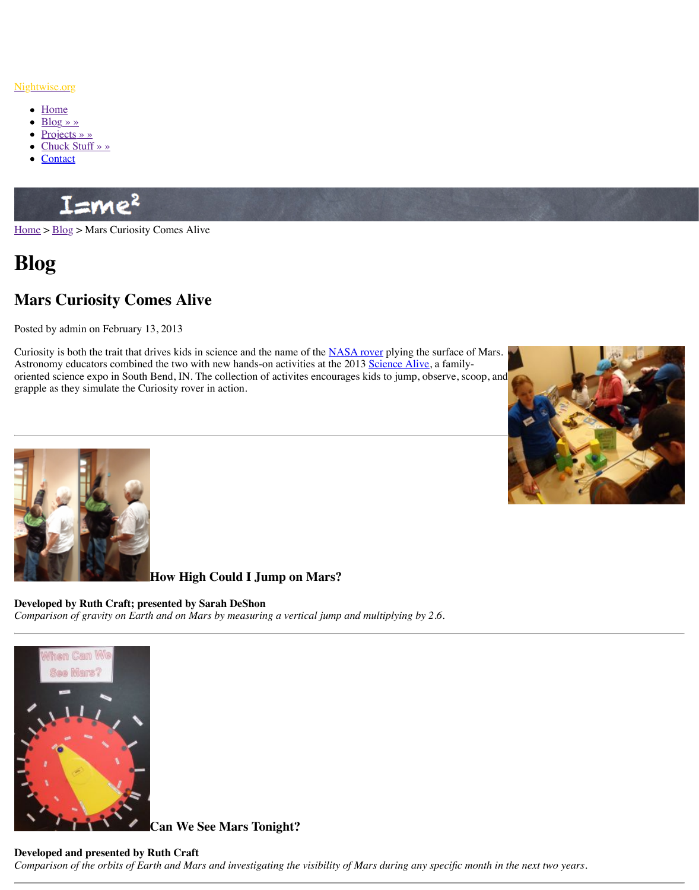Curiosity is both the trait that drives kids in science and the name of the <u>NASA rover</u> prying Astronomy educators combined the two with new hands-on activities at the 2013 Science Al oriented science expo in South Bend, IN. The collection of activites encourages kids to jump grapple as they simulate the Curiosity rover in action.



# **How High Could I Jump on Mars?**

#### **Developed by Ruth Craft; presented by Sarah DeShon**

*Comparison of gravity on Earth and on Mars by measuring a vertical jump and multiplying by 2.6.*



**Can We See Mars Tonight?**

## **[Developed and presented by R](http://www.nightwise.org/files/4813/6175/6343/sci-alive-jump.png)uth Craft**

*Comparison of the orbits of Earth and Mars and investigating the visibility of Mars during a*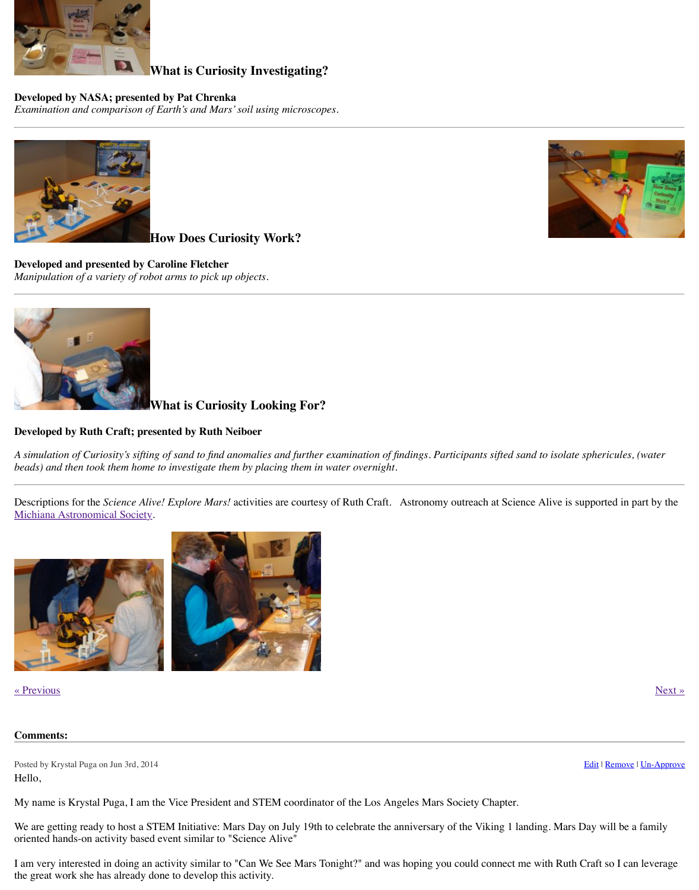

# **What is Curiosity Looking For?**

### **[Developed by Ruth Craft; pre](http://www.nightwise.org/files/7313/6175/6416/sci-alive-scopes.jpg)sented by Ruth Neiboer**

A simulation of Curiosity's sifting of sand to find anomalies and further examination of finding *beads) and then took them home to investigate them by placing them in water overnight.*

Descriptions for the *Science Alive! Explore Mars!* activities are courtesy of Ruth Craft. Ast [Michiana Astronomical Society](http://www.nightwise.org/files/5113/6175/6371/sci-alive-robot.jpg).



#### « Previous » Next » Next » Next » Next » Next » Next » Next » Next » Next » Next » Next » Next » Next » Next » Next » Next » Next » Next » Next » Next » Next » Next » Next » Next » Next » Next » Next » Next » Next » Next »

#### **Comments:**

[Posted by Krystal Puga on Jun 3rd, 20](http://www.nightwise.org/files/8413/6175/6400/sci-alive-scoop.jpg)14 Hello,

My name is Krystal Puga, I am the Vice President and STEM coordinator of the Los Angele

We are getting ready to host a STEM Initiative: Mars Day on July 19th to celebrate the anniv oriented hands-on activity based event similar to "Science Alive"

[I am very interested in doing an](http://www.michiana-astro.org/) activity similar to "Can We See Mars Tonight?" and was hope the great work she has already done to develop this activity.